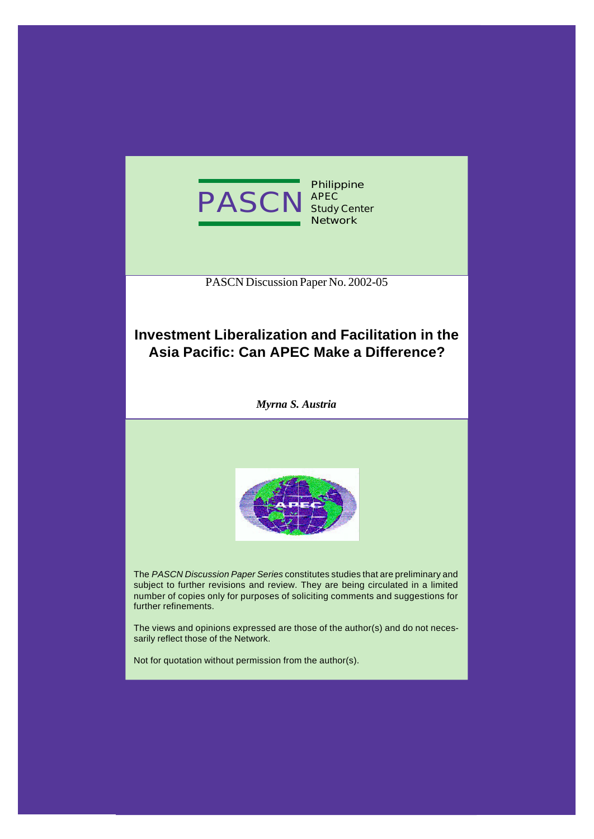

PASCN Discussion Paper No. 2002-05

# **Investment Liberalization and Facilitation in the Asia Pacific: Can APEC Make a Difference?**

*Myrna S. Austria*



The *PASCN Discussion Paper Series* constitutes studies that are preliminary and subject to further revisions and review. They are being circulated in a limited number of copies only for purposes of soliciting comments and suggestions for further refinements.

The views and opinions expressed are those of the author(s) and do not necessarily reflect those of the Network.

Not for quotation without permission from the author(s).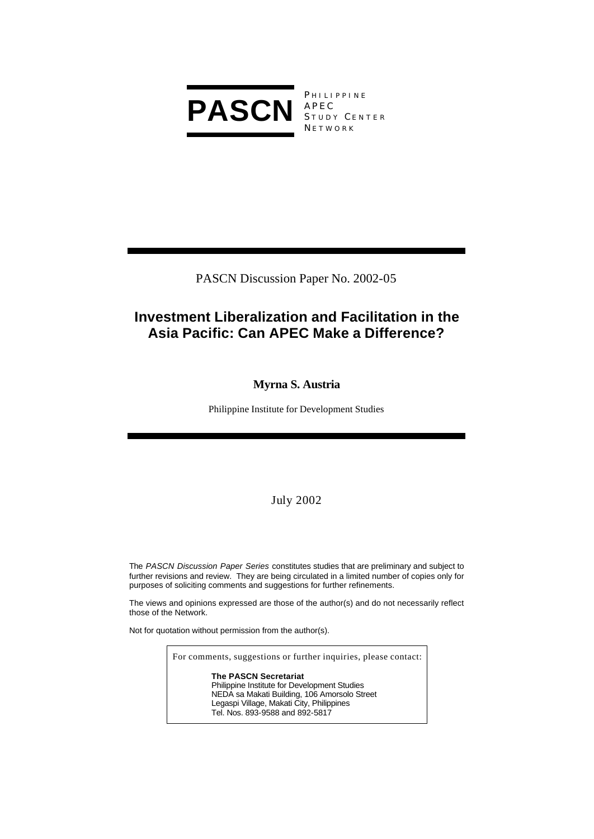

**PHILIPPINE** APEC STUDY CENTER **NETWORK** 

PASCN Discussion Paper No. 2002-05

# **Investment Liberalization and Facilitation in the Asia Pacific: Can APEC Make a Difference?**

## **Myrna S. Austria**

Philippine Institute for Development Studies

## July 2002

The *PASCN Discussion Paper Series* constitutes studies that are preliminary and subject to further revisions and review. They are being circulated in a limited number of copies only for purposes of soliciting comments and suggestions for further refinements.

The views and opinions expressed are those of the author(s) and do not necessarily reflect those of the Network.

Not for quotation without permission from the author(s).

For comments, suggestions or further inquiries, please contact:

**The PASCN Secretariat** Philippine Institute for Development Studies NEDA sa Makati Building, 106 Amorsolo Street Legaspi Village, Makati City, Philippines Tel. Nos. 893-9588 and 892-5817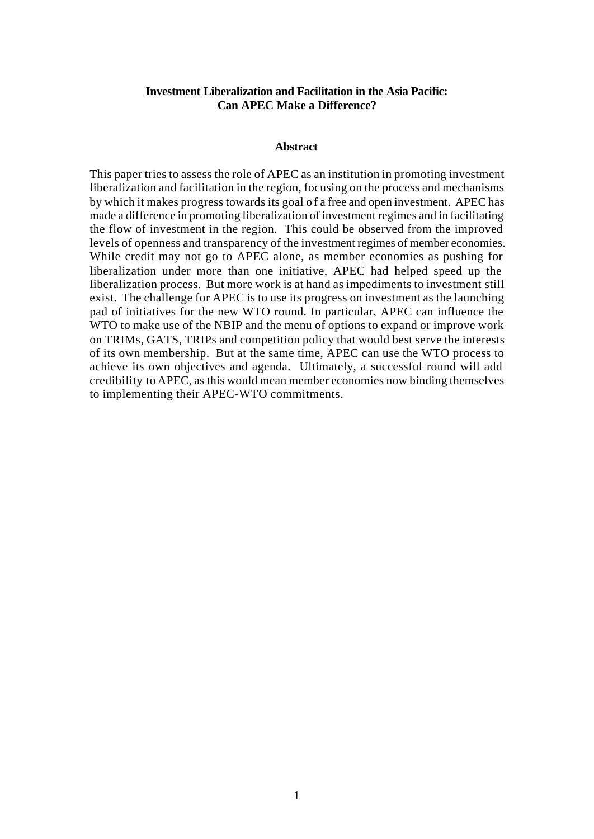### **Investment Liberalization and Facilitation in the Asia Pacific: Can APEC Make a Difference?**

#### **Abstract**

This paper tries to assess the role of APEC as an institution in promoting investment liberalization and facilitation in the region, focusing on the process and mechanisms by which it makes progress towards its goal o f a free and open investment. APEC has made a difference in promoting liberalization of investment regimes and in facilitating the flow of investment in the region. This could be observed from the improved levels of openness and transparency of the investment regimes of member economies. While credit may not go to APEC alone, as member economies as pushing for liberalization under more than one initiative, APEC had helped speed up the liberalization process. But more work is at hand as impediments to investment still exist. The challenge for APEC is to use its progress on investment as the launching pad of initiatives for the new WTO round. In particular, APEC can influence the WTO to make use of the NBIP and the menu of options to expand or improve work on TRIMs, GATS, TRIPs and competition policy that would best serve the interests of its own membership. But at the same time, APEC can use the WTO process to achieve its own objectives and agenda. Ultimately, a successful round will add credibility to APEC, as this would mean member economies now binding themselves to implementing their APEC-WTO commitments.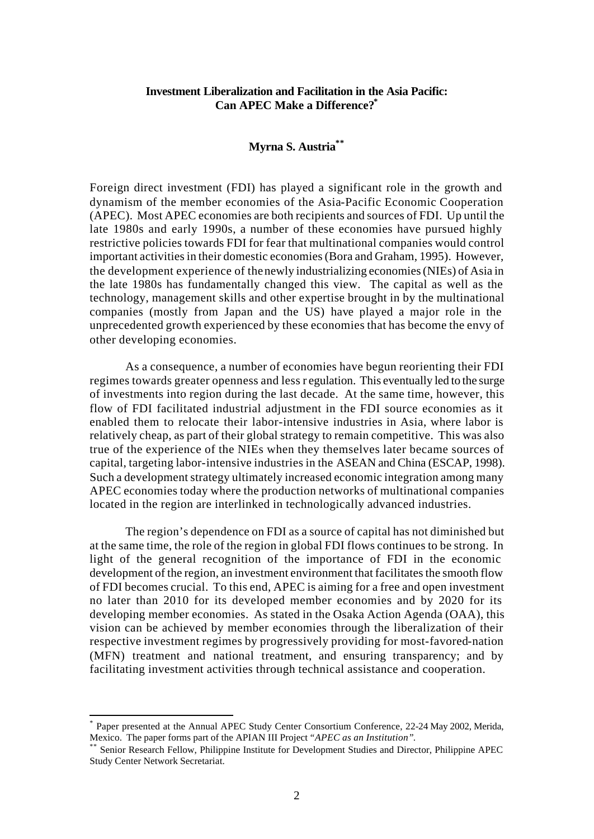### **Investment Liberalization and Facilitation in the Asia Pacific: Can APEC Make a Difference?\***

#### **Myrna S. Austria\*\***

Foreign direct investment (FDI) has played a significant role in the growth and dynamism of the member economies of the Asia-Pacific Economic Cooperation (APEC). Most APEC economies are both recipients and sources of FDI. Up until the late 1980s and early 1990s, a number of these economies have pursued highly restrictive policies towards FDI for fear that multinational companies would control important activities in their domestic economies (Bora and Graham, 1995). However, the development experience of the newly industrializing economies (NIEs) of Asia in the late 1980s has fundamentally changed this view. The capital as well as the technology, management skills and other expertise brought in by the multinational companies (mostly from Japan and the US) have played a major role in the unprecedented growth experienced by these economies that has become the envy of other developing economies.

As a consequence, a number of economies have begun reorienting their FDI regimes towards greater openness and less r egulation. This eventually led to the surge of investments into region during the last decade. At the same time, however, this flow of FDI facilitated industrial adjustment in the FDI source economies as it enabled them to relocate their labor-intensive industries in Asia, where labor is relatively cheap, as part of their global strategy to remain competitive. This was also true of the experience of the NIEs when they themselves later became sources of capital, targeting labor-intensive industries in the ASEAN and China (ESCAP, 1998). Such a development strategy ultimately increased economic integration among many APEC economies today where the production networks of multinational companies located in the region are interlinked in technologically advanced industries.

The region's dependence on FDI as a source of capital has not diminished but at the same time, the role of the region in global FDI flows continues to be strong. In light of the general recognition of the importance of FDI in the economic development of the region, an investment environment that facilitates the smooth flow of FDI becomes crucial. To this end, APEC is aiming for a free and open investment no later than 2010 for its developed member economies and by 2020 for its developing member economies. As stated in the Osaka Action Agenda (OAA), this vision can be achieved by member economies through the liberalization of their respective investment regimes by progressively providing for most-favored-nation (MFN) treatment and national treatment, and ensuring transparency; and by facilitating investment activities through technical assistance and cooperation.

l

<sup>\*</sup> Paper presented at the Annual APEC Study Center Consortium Conference, 22-24 May 2002, Merida, Mexico. The paper forms part of the APIAN III Project *"APEC as an Institution"*.

Senior Research Fellow, Philippine Institute for Development Studies and Director, Philippine APEC Study Center Network Secretariat.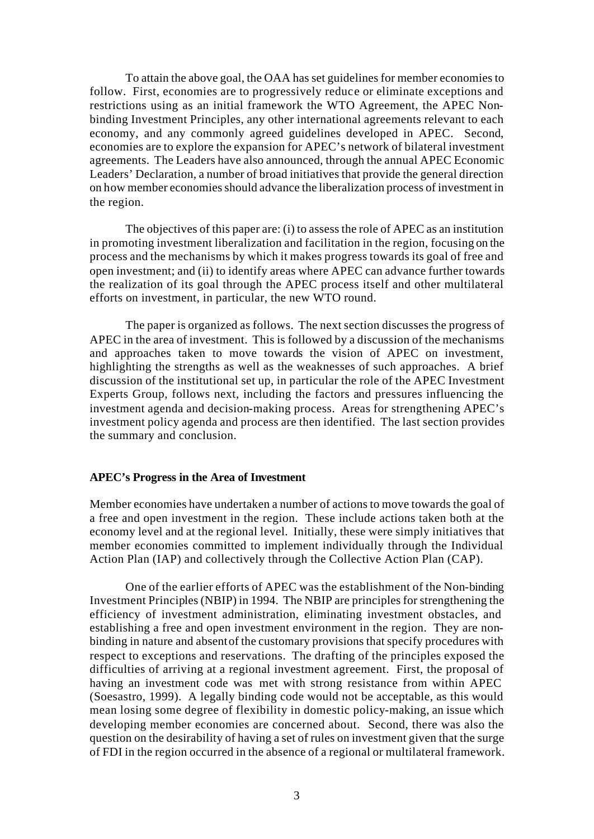To attain the above goal, the OAA has set guidelines for member economies to follow. First, economies are to progressively reduce or eliminate exceptions and restrictions using as an initial framework the WTO Agreement, the APEC Nonbinding Investment Principles, any other international agreements relevant to each economy, and any commonly agreed guidelines developed in APEC. Second, economies are to explore the expansion for APEC's network of bilateral investment agreements. The Leaders have also announced, through the annual APEC Economic Leaders' Declaration, a number of broad initiatives that provide the general direction on how member economies should advance the liberalization process of investment in the region.

The objectives of this paper are: (i) to assess the role of APEC as an institution in promoting investment liberalization and facilitation in the region, focusing on the process and the mechanisms by which it makes progress towards its goal of free and open investment; and (ii) to identify areas where APEC can advance further towards the realization of its goal through the APEC process itself and other multilateral efforts on investment, in particular, the new WTO round.

The paper is organized as follows. The next section discusses the progress of APEC in the area of investment. This is followed by a discussion of the mechanisms and approaches taken to move towards the vision of APEC on investment, highlighting the strengths as well as the weaknesses of such approaches. A brief discussion of the institutional set up, in particular the role of the APEC Investment Experts Group, follows next, including the factors and pressures influencing the investment agenda and decision-making process. Areas for strengthening APEC's investment policy agenda and process are then identified. The last section provides the summary and conclusion.

### **APEC's Progress in the Area of Investment**

Member economies have undertaken a number of actions to move towards the goal of a free and open investment in the region. These include actions taken both at the economy level and at the regional level. Initially, these were simply initiatives that member economies committed to implement individually through the Individual Action Plan (IAP) and collectively through the Collective Action Plan (CAP).

One of the earlier efforts of APEC was the establishment of the Non-binding Investment Principles (NBIP) in 1994. The NBIP are principles for strengthening the efficiency of investment administration, eliminating investment obstacles, and establishing a free and open investment environment in the region. They are nonbinding in nature and absent of the customary provisions that specify procedures with respect to exceptions and reservations. The drafting of the principles exposed the difficulties of arriving at a regional investment agreement. First, the proposal of having an investment code was met with strong resistance from within APEC (Soesastro, 1999). A legally binding code would not be acceptable, as this would mean losing some degree of flexibility in domestic policy-making, an issue which developing member economies are concerned about. Second, there was also the question on the desirability of having a set of rules on investment given that the surge of FDI in the region occurred in the absence of a regional or multilateral framework.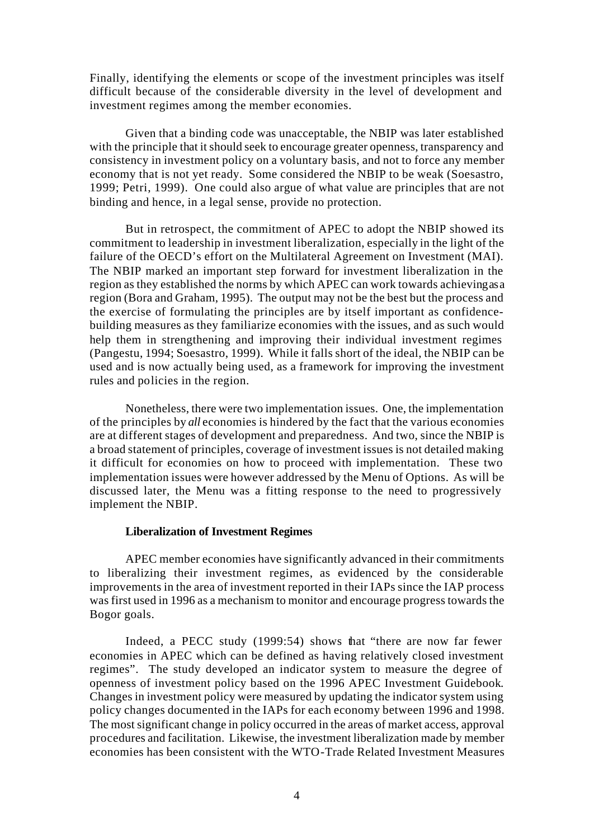Finally, identifying the elements or scope of the investment principles was itself difficult because of the considerable diversity in the level of development and investment regimes among the member economies.

Given that a binding code was unacceptable, the NBIP was later established with the principle that it should seek to encourage greater openness, transparency and consistency in investment policy on a voluntary basis, and not to force any member economy that is not yet ready. Some considered the NBIP to be weak (Soesastro, 1999; Petri, 1999). One could also argue of what value are principles that are not binding and hence, in a legal sense, provide no protection.

But in retrospect, the commitment of APEC to adopt the NBIP showed its commitment to leadership in investment liberalization, especially in the light of the failure of the OECD's effort on the Multilateral Agreement on Investment (MAI). The NBIP marked an important step forward for investment liberalization in the region as they established the norms by which APEC can work towards achieving as a region (Bora and Graham, 1995). The output may not be the best but the process and the exercise of formulating the principles are by itself important as confidencebuilding measures as they familiarize economies with the issues, and as such would help them in strengthening and improving their individual investment regimes (Pangestu, 1994; Soesastro, 1999). While it falls short of the ideal, the NBIP can be used and is now actually being used, as a framework for improving the investment rules and policies in the region.

Nonetheless, there were two implementation issues. One, the implementation of the principles by *all* economies is hindered by the fact that the various economies are at different stages of development and preparedness. And two, since the NBIP is a broad statement of principles, coverage of investment issues is not detailed making it difficult for economies on how to proceed with implementation. These two implementation issues were however addressed by the Menu of Options. As will be discussed later, the Menu was a fitting response to the need to progressively implement the NBIP.

#### **Liberalization of Investment Regimes**

APEC member economies have significantly advanced in their commitments to liberalizing their investment regimes, as evidenced by the considerable improvements in the area of investment reported in their IAPs since the IAP process was first used in 1996 as a mechanism to monitor and encourage progress towards the Bogor goals.

Indeed, a PECC study (1999:54) shows that "there are now far fewer economies in APEC which can be defined as having relatively closed investment regimes". The study developed an indicator system to measure the degree of openness of investment policy based on the 1996 APEC Investment Guidebook. Changes in investment policy were measured by updating the indicator system using policy changes documented in the IAPs for each economy between 1996 and 1998. The most significant change in policy occurred in the areas of market access, approval procedures and facilitation. Likewise, the investment liberalization made by member economies has been consistent with the WTO-Trade Related Investment Measures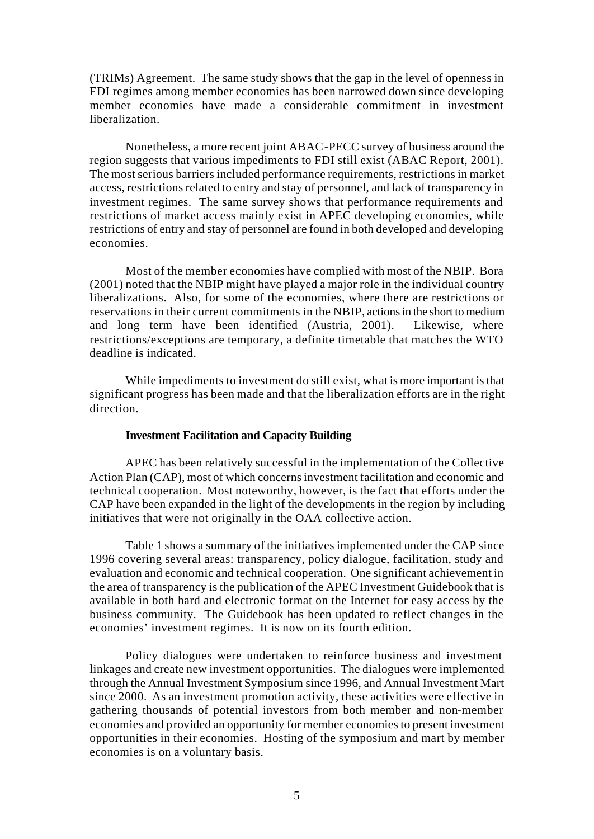(TRIMs) Agreement. The same study shows that the gap in the level of openness in FDI regimes among member economies has been narrowed down since developing member economies have made a considerable commitment in investment liberalization.

Nonetheless, a more recent joint ABAC-PECC survey of business around the region suggests that various impediments to FDI still exist (ABAC Report, 2001). The most serious barriers included performance requirements, restrictions in market access, restrictions related to entry and stay of personnel, and lack of transparency in investment regimes. The same survey shows that performance requirements and restrictions of market access mainly exist in APEC developing economies, while restrictions of entry and stay of personnel are found in both developed and developing economies.

Most of the member economies have complied with most of the NBIP. Bora (2001) noted that the NBIP might have played a major role in the individual country liberalizations. Also, for some of the economies, where there are restrictions or reservations in their current commitments in the NBIP, actions in the short to medium and long term have been identified (Austria, 2001). Likewise, where restrictions/exceptions are temporary, a definite timetable that matches the WTO deadline is indicated.

While impediments to investment do still exist, what is more important is that significant progress has been made and that the liberalization efforts are in the right direction.

#### **Investment Facilitation and Capacity Building**

APEC has been relatively successful in the implementation of the Collective Action Plan (CAP), most of which concerns investment facilitation and economic and technical cooperation. Most noteworthy, however, is the fact that efforts under the CAP have been expanded in the light of the developments in the region by including initiatives that were not originally in the OAA collective action.

Table 1 shows a summary of the initiatives implemented under the CAP since 1996 covering several areas: transparency, policy dialogue, facilitation, study and evaluation and economic and technical cooperation. One significant achievement in the area of transparency is the publication of the APEC Investment Guidebook that is available in both hard and electronic format on the Internet for easy access by the business community. The Guidebook has been updated to reflect changes in the economies' investment regimes. It is now on its fourth edition.

Policy dialogues were undertaken to reinforce business and investment linkages and create new investment opportunities. The dialogues were implemented through the Annual Investment Symposium since 1996, and Annual Investment Mart since 2000. As an investment promotion activity, these activities were effective in gathering thousands of potential investors from both member and non-member economies and provided an opportunity for member economies to present investment opportunities in their economies. Hosting of the symposium and mart by member economies is on a voluntary basis.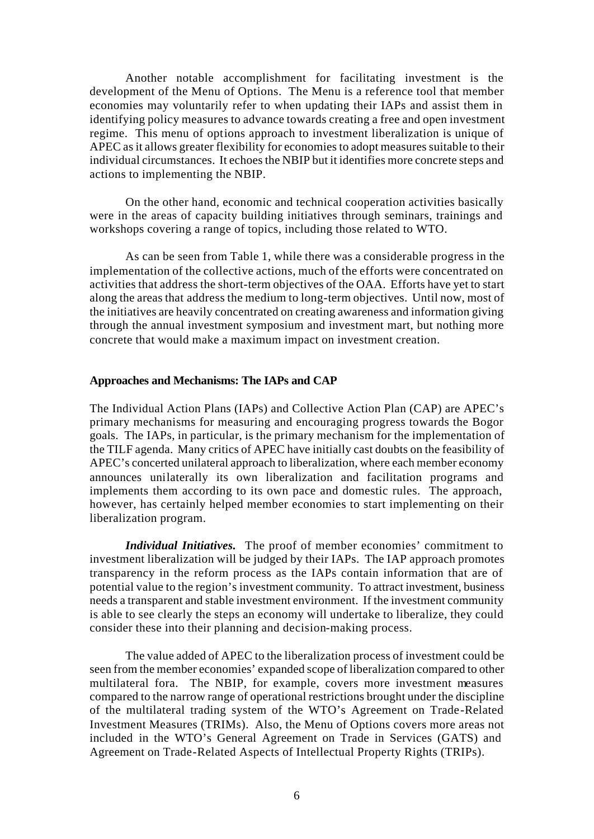Another notable accomplishment for facilitating investment is the development of the Menu of Options. The Menu is a reference tool that member economies may voluntarily refer to when updating their IAPs and assist them in identifying policy measures to advance towards creating a free and open investment regime. This menu of options approach to investment liberalization is unique of APEC as it allows greater flexibility for economies to adopt measures suitable to their individual circumstances. It echoes the NBIP but it identifies more concrete steps and actions to implementing the NBIP.

On the other hand, economic and technical cooperation activities basically were in the areas of capacity building initiatives through seminars, trainings and workshops covering a range of topics, including those related to WTO.

As can be seen from Table 1, while there was a considerable progress in the implementation of the collective actions, much of the efforts were concentrated on activities that address the short-term objectives of the OAA. Efforts have yet to start along the areas that address the medium to long-term objectives. Until now, most of the initiatives are heavily concentrated on creating awareness and information giving through the annual investment symposium and investment mart, but nothing more concrete that would make a maximum impact on investment creation.

#### **Approaches and Mechanisms: The IAPs and CAP**

The Individual Action Plans (IAPs) and Collective Action Plan (CAP) are APEC's primary mechanisms for measuring and encouraging progress towards the Bogor goals. The IAPs, in particular, is the primary mechanism for the implementation of the TILF agenda. Many critics of APEC have initially cast doubts on the feasibility of APEC's concerted unilateral approach to liberalization, where each member economy announces unilaterally its own liberalization and facilitation programs and implements them according to its own pace and domestic rules. The approach, however, has certainly helped member economies to start implementing on their liberalization program.

*Individual Initiatives.* The proof of member economies' commitment to investment liberalization will be judged by their IAPs. The IAP approach promotes transparency in the reform process as the IAPs contain information that are of potential value to the region's investment community. To attract investment, business needs a transparent and stable investment environment. If the investment community is able to see clearly the steps an economy will undertake to liberalize, they could consider these into their planning and decision-making process.

The value added of APEC to the liberalization process of investment could be seen from the member economies' expanded scope of liberalization compared to other multilateral fora. The NBIP, for example, covers more investment measures compared to the narrow range of operational restrictions brought under the discipline of the multilateral trading system of the WTO's Agreement on Trade-Related Investment Measures (TRIMs). Also, the Menu of Options covers more areas not included in the WTO's General Agreement on Trade in Services (GATS) and Agreement on Trade-Related Aspects of Intellectual Property Rights (TRIPs).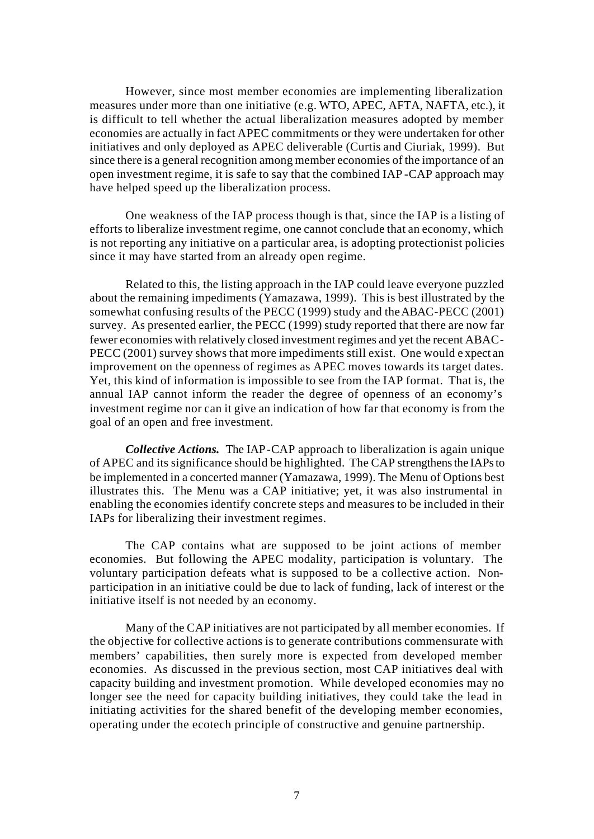However, since most member economies are implementing liberalization measures under more than one initiative (e.g. WTO, APEC, AFTA, NAFTA, etc.), it is difficult to tell whether the actual liberalization measures adopted by member economies are actually in fact APEC commitments or they were undertaken for other initiatives and only deployed as APEC deliverable (Curtis and Ciuriak, 1999). But since there is a general recognition among member economies of the importance of an open investment regime, it is safe to say that the combined IAP -CAP approach may have helped speed up the liberalization process.

One weakness of the IAP process though is that, since the IAP is a listing of efforts to liberalize investment regime, one cannot conclude that an economy, which is not reporting any initiative on a particular area, is adopting protectionist policies since it may have started from an already open regime.

Related to this, the listing approach in the IAP could leave everyone puzzled about the remaining impediments (Yamazawa, 1999). This is best illustrated by the somewhat confusing results of the PECC (1999) study and the ABAC-PECC (2001) survey. As presented earlier, the PECC (1999) study reported that there are now far fewer economies with relatively closed investment regimes and yet the recent ABAC-PECC (2001) survey shows that more impediments still exist. One would e xpect an improvement on the openness of regimes as APEC moves towards its target dates. Yet, this kind of information is impossible to see from the IAP format. That is, the annual IAP cannot inform the reader the degree of openness of an economy's investment regime nor can it give an indication of how far that economy is from the goal of an open and free investment.

*Collective Actions.* The IAP-CAP approach to liberalization is again unique of APEC and its significance should be highlighted. The CAP strengthens the IAPs to be implemented in a concerted manner (Yamazawa, 1999). The Menu of Options best illustrates this. The Menu was a CAP initiative; yet, it was also instrumental in enabling the economies identify concrete steps and measures to be included in their IAPs for liberalizing their investment regimes.

The CAP contains what are supposed to be joint actions of member economies. But following the APEC modality, participation is voluntary. The voluntary participation defeats what is supposed to be a collective action. Nonparticipation in an initiative could be due to lack of funding, lack of interest or the initiative itself is not needed by an economy.

Many of the CAP initiatives are not participated by all member economies. If the objective for collective actions is to generate contributions commensurate with members' capabilities, then surely more is expected from developed member economies. As discussed in the previous section, most CAP initiatives deal with capacity building and investment promotion. While developed economies may no longer see the need for capacity building initiatives, they could take the lead in initiating activities for the shared benefit of the developing member economies, operating under the ecotech principle of constructive and genuine partnership.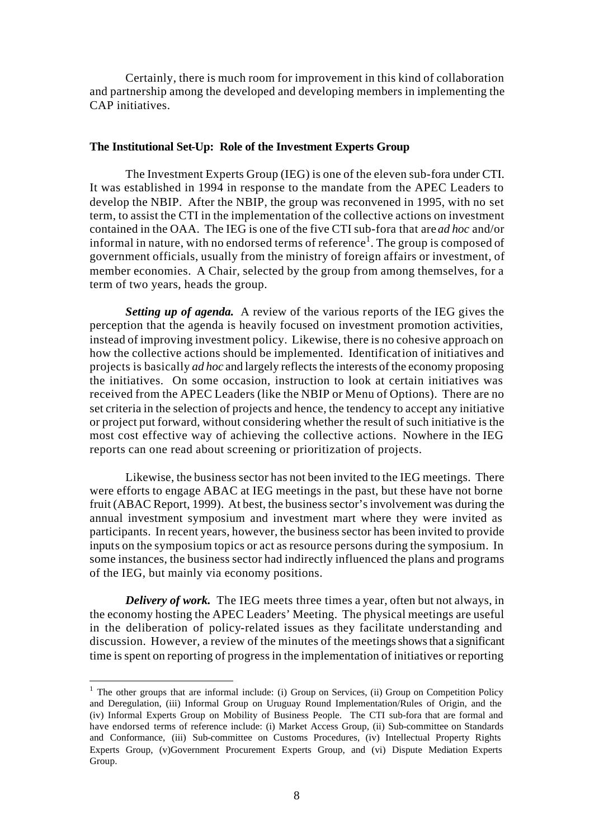Certainly, there is much room for improvement in this kind of collaboration and partnership among the developed and developing members in implementing the CAP initiatives.

#### **The Institutional Set-Up: Role of the Investment Experts Group**

The Investment Experts Group (IEG) is one of the eleven sub-fora under CTI. It was established in 1994 in response to the mandate from the APEC Leaders to develop the NBIP. After the NBIP, the group was reconvened in 1995, with no set term, to assist the CTI in the implementation of the collective actions on investment contained in the OAA. The IEG is one of the five CTI sub-fora that are *ad hoc* and/or informal in nature, with no endorsed terms of reference<sup>1</sup>. The group is composed of government officials, usually from the ministry of foreign affairs or investment, of member economies. A Chair, selected by the group from among themselves, for a term of two years, heads the group.

*Setting up of agenda.* A review of the various reports of the IEG gives the perception that the agenda is heavily focused on investment promotion activities, instead of improving investment policy. Likewise, there is no cohesive approach on how the collective actions should be implemented. Identification of initiatives and projects is basically *ad hoc* and largely reflects the interests of the economy proposing the initiatives. On some occasion, instruction to look at certain initiatives was received from the APEC Leaders (like the NBIP or Menu of Options). There are no set criteria in the selection of projects and hence, the tendency to accept any initiative or project put forward, without considering whether the result of such initiative is the most cost effective way of achieving the collective actions. Nowhere in the IEG reports can one read about screening or prioritization of projects.

Likewise, the business sector has not been invited to the IEG meetings. There were efforts to engage ABAC at IEG meetings in the past, but these have not borne fruit (ABAC Report, 1999). At best, the business sector's involvement was during the annual investment symposium and investment mart where they were invited as participants. In recent years, however, the business sector has been invited to provide inputs on the symposium topics or act as resource persons during the symposium. In some instances, the business sector had indirectly influenced the plans and programs of the IEG, but mainly via economy positions.

*Delivery of work.* The IEG meets three times a year, often but not always, in the economy hosting the APEC Leaders' Meeting. The physical meetings are useful in the deliberation of policy-related issues as they facilitate understanding and discussion. However, a review of the minutes of the meetings shows that a significant time is spent on reporting of progress in the implementation of initiatives or reporting

l

 $<sup>1</sup>$  The other groups that are informal include: (i) Group on Services, (ii) Group on Competition Policy</sup> and Deregulation, (iii) Informal Group on Uruguay Round Implementation/Rules of Origin, and the (iv) Informal Experts Group on Mobility of Business People. The CTI sub-fora that are formal and have endorsed terms of reference include: (i) Market Access Group, (ii) Sub-committee on Standards and Conformance, (iii) Sub-committee on Customs Procedures, (iv) Intellectual Property Rights Experts Group, (v)Government Procurement Experts Group, and (vi) Dispute Mediation Experts Group.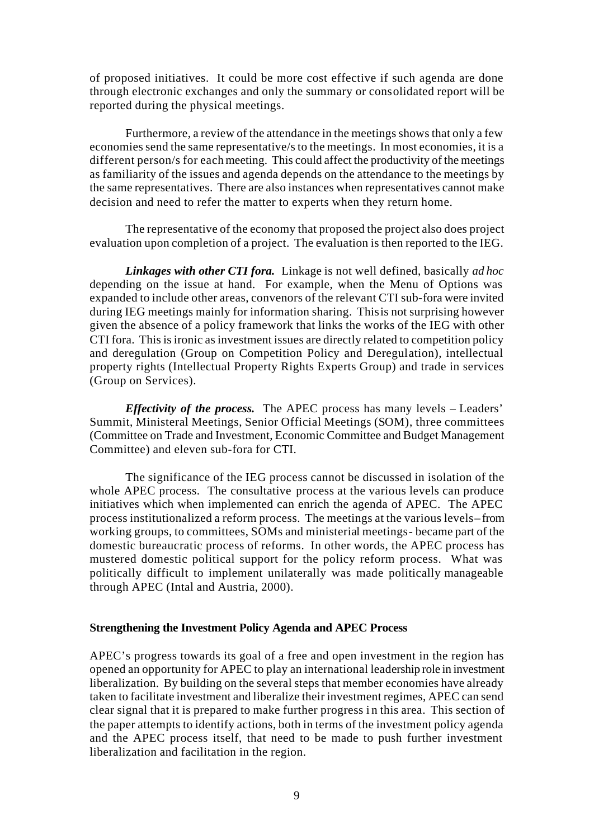of proposed initiatives. It could be more cost effective if such agenda are done through electronic exchanges and only the summary or consolidated report will be reported during the physical meetings.

Furthermore, a review of the attendance in the meetings shows that only a few economies send the same representative/s to the meetings. In most economies, it is a different person/s for each meeting. This could affect the productivity of the meetings as familiarity of the issues and agenda depends on the attendance to the meetings by the same representatives. There are also instances when representatives cannot make decision and need to refer the matter to experts when they return home.

The representative of the economy that proposed the project also does project evaluation upon completion of a project. The evaluation is then reported to the IEG.

*Linkages with other CTI fora.* Linkage is not well defined, basically *ad hoc* depending on the issue at hand. For example, when the Menu of Options was expanded to include other areas, convenors of the relevant CTI sub-fora were invited during IEG meetings mainly for information sharing. This is not surprising however given the absence of a policy framework that links the works of the IEG with other CTI fora. This is ironic as investment issues are directly related to competition policy and deregulation (Group on Competition Policy and Deregulation), intellectual property rights (Intellectual Property Rights Experts Group) and trade in services (Group on Services).

*Effectivity of the process.* The APEC process has many levels – Leaders' Summit, Ministeral Meetings, Senior Official Meetings (SOM), three committees (Committee on Trade and Investment, Economic Committee and Budget Management Committee) and eleven sub-fora for CTI.

The significance of the IEG process cannot be discussed in isolation of the whole APEC process. The consultative process at the various levels can produce initiatives which when implemented can enrich the agenda of APEC. The APEC process institutionalized a reform process. The meetings at the various levels – from working groups, to committees, SOMs and ministerial meetings- became part of the domestic bureaucratic process of reforms. In other words, the APEC process has mustered domestic political support for the policy reform process. What was politically difficult to implement unilaterally was made politically manageable through APEC (Intal and Austria, 2000).

### **Strengthening the Investment Policy Agenda and APEC Process**

APEC's progress towards its goal of a free and open investment in the region has opened an opportunity for APEC to play an international leadership role in investment liberalization. By building on the several steps that member economies have already taken to facilitate investment and liberalize their investment regimes, APEC can send clear signal that it is prepared to make further progress i n this area. This section of the paper attempts to identify actions, both in terms of the investment policy agenda and the APEC process itself, that need to be made to push further investment liberalization and facilitation in the region.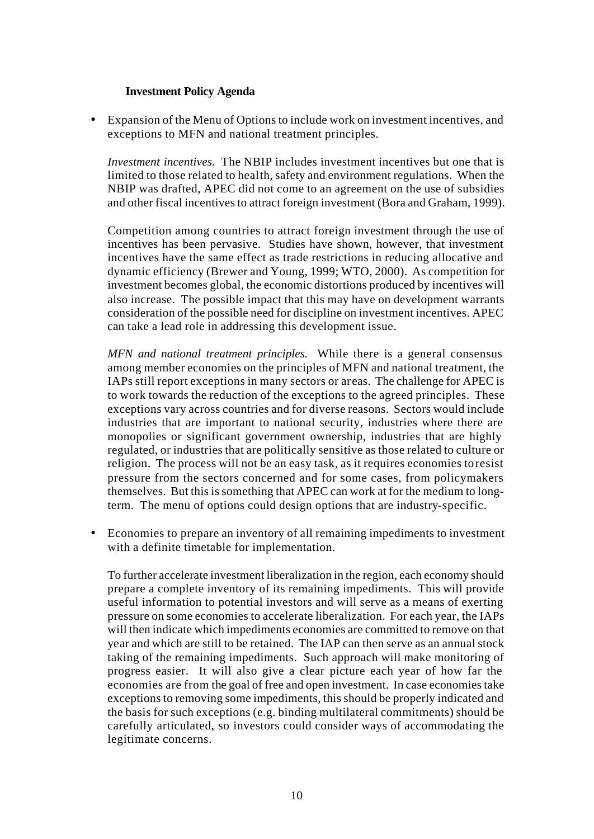### **Investment Policy Agenda**

• Expansion of the Menu of Options to include work on investment incentives, and exceptions to MFN and national treatment principles.

*Investment incentives.* The NBIP includes investment incentives but one that is limited to those related to health, safety and environment regulations. When the NBIP was drafted, APEC did not come to an agreement on the use of subsidies and other fiscal incentives to attract foreign investment (Bora and Graham, 1999).

Competition among countries to attract foreign investment through the use of incentives has been pervasive. Studies have shown, however, that investment incentives have the same effect as trade restrictions in reducing allocative and dynamic efficiency (Brewer and Young, 1999; WTO, 2000). As competition for investment becomes global, the economic distortions produced by incentives will also increase. The possible impact that this may have on development warrants consideration of the possible need for discipline on investment incentives. APEC can take a lead role in addressing this development issue.

*MFN and national treatment principles.* While there is a general consensus among member economies on the principles of MFN and national treatment, the IAPs still report exceptions in many sectors or areas. The challenge for APEC is to work towards the reduction of the exceptions to the agreed principles. These exceptions vary across countries and for diverse reasons. Sectors would include industries that are important to national security, industries where there are monopolies or significant government ownership, industries that are highly regulated, or industries that are politically sensitive as those related to culture or religion. The process will not be an easy task, as it requires economies to resist pressure from the sectors concerned and for some cases, from policymakers themselves. But this is something that APEC can work at for the medium to longterm. The menu of options could design options that are industry-specific.

• Economies to prepare an inventory of all remaining impediments to investment with a definite timetable for implementation.

To further accelerate investment liberalization in the region, each economy should prepare a complete inventory of its remaining impediments. This will provide useful information to potential investors and will serve as a means of exerting pressure on some economies to accelerate liberalization. For each year, the IAPs will then indicate which impediments economies are committed to remove on that year and which are still to be retained. The IAP can then serve as an annual stock taking of the remaining impediments. Such approach will make monitoring of progress easier. It will also give a clear picture each year of how far the economies are from the goal of free and open investment. In case economies take exceptions to removing some impediments, this should be properly indicated and the basis for such exceptions (e.g. binding multilateral commitments) should be carefully articulated, so investors could consider ways of accommodating the legitimate concerns.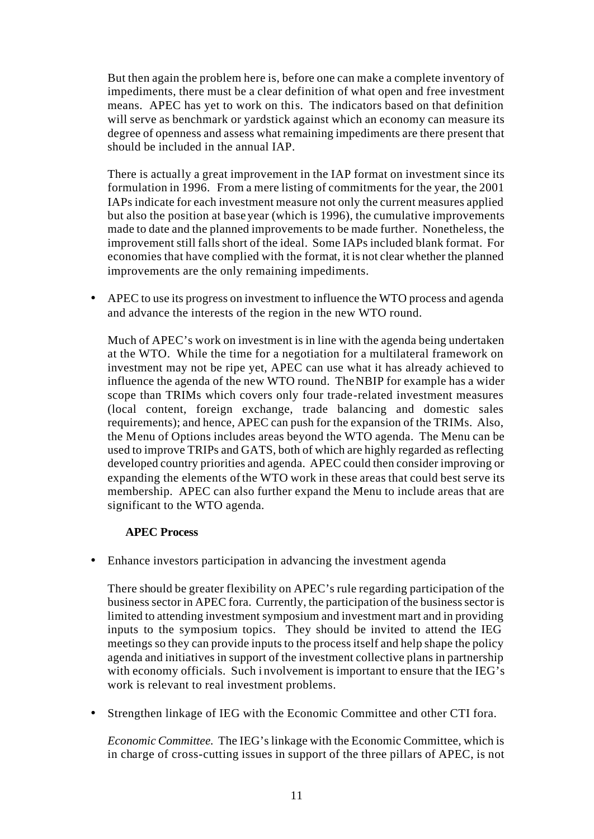But then again the problem here is, before one can make a complete inventory of impediments, there must be a clear definition of what open and free investment means. APEC has yet to work on this. The indicators based on that definition will serve as benchmark or yardstick against which an economy can measure its degree of openness and assess what remaining impediments are there present that should be included in the annual IAP.

There is actually a great improvement in the IAP format on investment since its formulation in 1996. From a mere listing of commitments for the year, the 2001 IAPs indicate for each investment measure not only the current measures applied but also the position at base year (which is 1996), the cumulative improvements made to date and the planned improvements to be made further. Nonetheless, the improvement still falls short of the ideal. Some IAPs included blank format. For economies that have complied with the format, it is not clear whether the planned improvements are the only remaining impediments.

• APEC to use its progress on investment to influence the WTO process and agenda and advance the interests of the region in the new WTO round.

Much of APEC's work on investment is in line with the agenda being undertaken at the WTO. While the time for a negotiation for a multilateral framework on investment may not be ripe yet, APEC can use what it has already achieved to influence the agenda of the new WTO round. The NBIP for example has a wider scope than TRIMs which covers only four trade-related investment measures (local content, foreign exchange, trade balancing and domestic sales requirements); and hence, APEC can push for the expansion of the TRIMs. Also, the Menu of Options includes areas beyond the WTO agenda. The Menu can be used to improve TRIPs and GATS, both of which are highly regarded as reflecting developed country priorities and agenda. APEC could then consider improving or expanding the elements of the WTO work in these areas that could best serve its membership. APEC can also further expand the Menu to include areas that are significant to the WTO agenda.

## **APEC Process**

• Enhance investors participation in advancing the investment agenda

There should be greater flexibility on APEC's rule regarding participation of the business sector in APEC fora. Currently, the participation of the business sector is limited to attending investment symposium and investment mart and in providing inputs to the symposium topics. They should be invited to attend the IEG meetings so they can provide inputs to the process itself and help shape the policy agenda and initiatives in support of the investment collective plans in partnership with economy officials. Such i nvolvement is important to ensure that the IEG's work is relevant to real investment problems.

• Strengthen linkage of IEG with the Economic Committee and other CTI fora.

*Economic Committee.* The IEG's linkage with the Economic Committee, which is in charge of cross-cutting issues in support of the three pillars of APEC, is not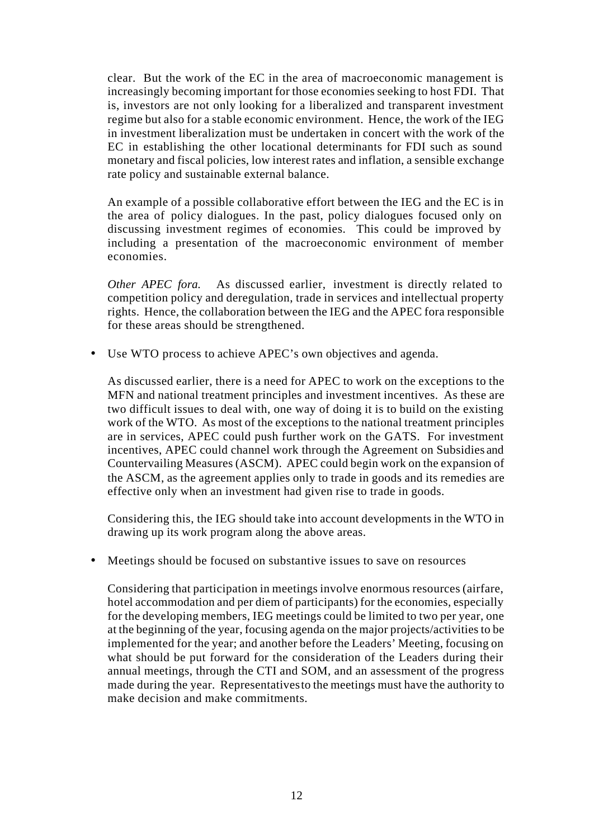clear. But the work of the EC in the area of macroeconomic management is increasingly becoming important for those economies seeking to host FDI. That is, investors are not only looking for a liberalized and transparent investment regime but also for a stable economic environment. Hence, the work of the IEG in investment liberalization must be undertaken in concert with the work of the EC in establishing the other locational determinants for FDI such as sound monetary and fiscal policies, low interest rates and inflation, a sensible exchange rate policy and sustainable external balance.

An example of a possible collaborative effort between the IEG and the EC is in the area of policy dialogues. In the past, policy dialogues focused only on discussing investment regimes of economies. This could be improved by including a presentation of the macroeconomic environment of member economies.

*Other APEC fora.* As discussed earlier, investment is directly related to competition policy and deregulation, trade in services and intellectual property rights. Hence, the collaboration between the IEG and the APEC fora responsible for these areas should be strengthened.

• Use WTO process to achieve APEC's own objectives and agenda.

As discussed earlier, there is a need for APEC to work on the exceptions to the MFN and national treatment principles and investment incentives. As these are two difficult issues to deal with, one way of doing it is to build on the existing work of the WTO. As most of the exceptions to the national treatment principles are in services, APEC could push further work on the GATS. For investment incentives, APEC could channel work through the Agreement on Subsidies and Countervailing Measures (ASCM). APEC could begin work on the expansion of the ASCM, as the agreement applies only to trade in goods and its remedies are effective only when an investment had given rise to trade in goods.

Considering this, the IEG should take into account developments in the WTO in drawing up its work program along the above areas.

• Meetings should be focused on substantive issues to save on resources

Considering that participation in meetings involve enormous resources (airfare, hotel accommodation and per diem of participants) for the economies, especially for the developing members, IEG meetings could be limited to two per year, one at the beginning of the year, focusing agenda on the major projects/activities to be implemented for the year; and another before the Leaders' Meeting, focusing on what should be put forward for the consideration of the Leaders during their annual meetings, through the CTI and SOM, and an assessment of the progress made during the year. Representatives to the meetings must have the authority to make decision and make commitments.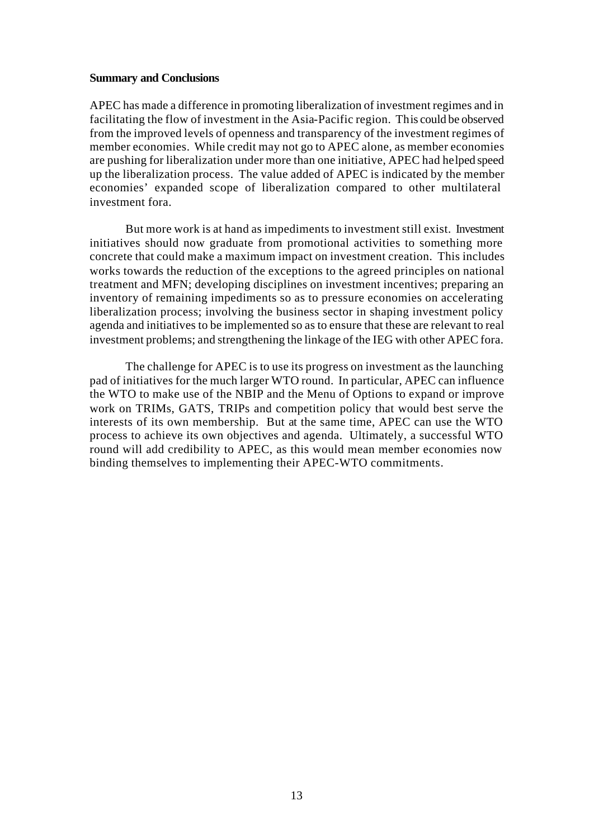#### **Summary and Conclusions**

APEC has made a difference in promoting liberalization of investment regimes and in facilitating the flow of investment in the Asia-Pacific region. This could be observed from the improved levels of openness and transparency of the investment regimes of member economies. While credit may not go to APEC alone, as member economies are pushing for liberalization under more than one initiative, APEC had helped speed up the liberalization process. The value added of APEC is indicated by the member economies' expanded scope of liberalization compared to other multilateral investment fora.

But more work is at hand as impediments to investment still exist. Investment initiatives should now graduate from promotional activities to something more concrete that could make a maximum impact on investment creation. This includes works towards the reduction of the exceptions to the agreed principles on national treatment and MFN; developing disciplines on investment incentives; preparing an inventory of remaining impediments so as to pressure economies on accelerating liberalization process; involving the business sector in shaping investment policy agenda and initiatives to be implemented so as to ensure that these are relevant to real investment problems; and strengthening the linkage of the IEG with other APEC fora.

The challenge for APEC is to use its progress on investment as the launching pad of initiatives for the much larger WTO round. In particular, APEC can influence the WTO to make use of the NBIP and the Menu of Options to expand or improve work on TRIMs, GATS, TRIPs and competition policy that would best serve the interests of its own membership. But at the same time, APEC can use the WTO process to achieve its own objectives and agenda. Ultimately, a successful WTO round will add credibility to APEC, as this would mean member economies now binding themselves to implementing their APEC-WTO commitments.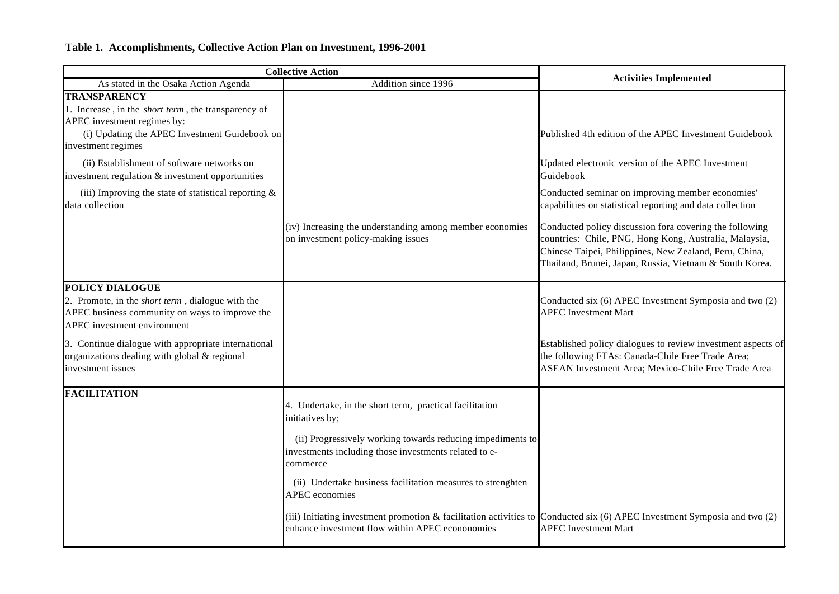## **Table 1. Accomplishments, Collective Action Plan on Investment, 1996-2001**

| <b>Collective Action</b>                                                                                                                                                                 |                                                                                                                                                                                  | <b>Activities Implemented</b>                                                                                                                                                                                                          |
|------------------------------------------------------------------------------------------------------------------------------------------------------------------------------------------|----------------------------------------------------------------------------------------------------------------------------------------------------------------------------------|----------------------------------------------------------------------------------------------------------------------------------------------------------------------------------------------------------------------------------------|
| As stated in the Osaka Action Agenda                                                                                                                                                     | Addition since 1996                                                                                                                                                              |                                                                                                                                                                                                                                        |
| <b>TRANSPARENCY</b><br>1. Increase, in the <i>short term</i> , the transparency of<br>APEC investment regimes by:<br>(i) Updating the APEC Investment Guidebook on<br>investment regimes |                                                                                                                                                                                  | Published 4th edition of the APEC Investment Guidebook                                                                                                                                                                                 |
| (ii) Establishment of software networks on<br>investment regulation & investment opportunities                                                                                           |                                                                                                                                                                                  | Updated electronic version of the APEC Investment<br>Guidebook                                                                                                                                                                         |
| (iii) Improving the state of statistical reporting $\&$<br>data collection                                                                                                               |                                                                                                                                                                                  | Conducted seminar on improving member economies'<br>capabilities on statistical reporting and data collection                                                                                                                          |
|                                                                                                                                                                                          | (iv) Increasing the understanding among member economies<br>on investment policy-making issues                                                                                   | Conducted policy discussion fora covering the following<br>countries: Chile, PNG, Hong Kong, Australia, Malaysia,<br>Chinese Taipei, Philippines, New Zealand, Peru, China,<br>Thailand, Brunei, Japan, Russia, Vietnam & South Korea. |
| <b>POLICY DIALOGUE</b>                                                                                                                                                                   |                                                                                                                                                                                  |                                                                                                                                                                                                                                        |
| 2. Promote, in the <i>short term</i> , dialogue with the<br>APEC business community on ways to improve the<br>APEC investment environment                                                |                                                                                                                                                                                  | Conducted six (6) APEC Investment Symposia and two (2)<br><b>APEC</b> Investment Mart                                                                                                                                                  |
| 3. Continue dialogue with appropriate international<br>organizations dealing with global & regional<br>investment issues                                                                 |                                                                                                                                                                                  | Established policy dialogues to review investment aspects of<br>the following FTAs: Canada-Chile Free Trade Area;<br>ASEAN Investment Area; Mexico-Chile Free Trade Area                                                               |
| <b>FACILITATION</b>                                                                                                                                                                      | 4. Undertake, in the short term, practical facilitation<br>initiatives by;                                                                                                       |                                                                                                                                                                                                                                        |
|                                                                                                                                                                                          | (ii) Progressively working towards reducing impediments to<br>investments including those investments related to e-<br>commerce                                                  |                                                                                                                                                                                                                                        |
|                                                                                                                                                                                          | (ii) Undertake business facilitation measures to strenghten<br><b>APEC</b> economies                                                                                             |                                                                                                                                                                                                                                        |
|                                                                                                                                                                                          | (iii) Initiating investment promotion & facilitation activities to Conducted six $(6)$ APEC Investment Symposia and two $(2)$<br>enhance investment flow within APEC econonomies | <b>APEC</b> Investment Mart                                                                                                                                                                                                            |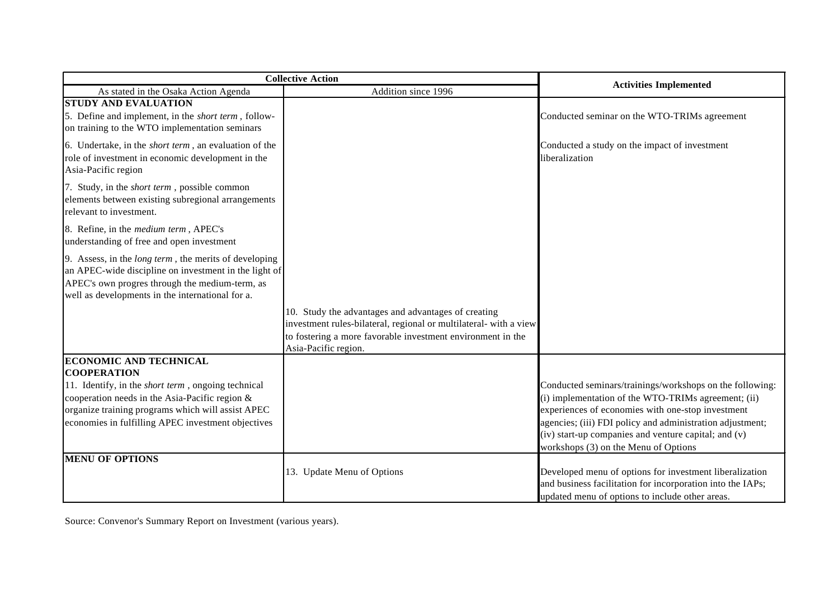| <b>Collective Action</b>                                                                                                                                                                                                                                                       |                                                                                                                                                                                                                 |                                                                                                                                                                                                                                                                                                                                   |
|--------------------------------------------------------------------------------------------------------------------------------------------------------------------------------------------------------------------------------------------------------------------------------|-----------------------------------------------------------------------------------------------------------------------------------------------------------------------------------------------------------------|-----------------------------------------------------------------------------------------------------------------------------------------------------------------------------------------------------------------------------------------------------------------------------------------------------------------------------------|
| As stated in the Osaka Action Agenda                                                                                                                                                                                                                                           | Addition since 1996                                                                                                                                                                                             | <b>Activities Implemented</b>                                                                                                                                                                                                                                                                                                     |
| <b>STUDY AND EVALUATION</b><br>5. Define and implement, in the <i>short term</i> , follow-<br>on training to the WTO implementation seminars                                                                                                                                   |                                                                                                                                                                                                                 | Conducted seminar on the WTO-TRIMs agreement                                                                                                                                                                                                                                                                                      |
| 6. Undertake, in the <i>short term</i> , an evaluation of the<br>role of investment in economic development in the<br>Asia-Pacific region                                                                                                                                      |                                                                                                                                                                                                                 | Conducted a study on the impact of investment<br>liberalization                                                                                                                                                                                                                                                                   |
| 7. Study, in the <i>short term</i> , possible common<br>elements between existing subregional arrangements<br>relevant to investment.                                                                                                                                          |                                                                                                                                                                                                                 |                                                                                                                                                                                                                                                                                                                                   |
| 8. Refine, in the <i>medium term</i> , APEC's<br>understanding of free and open investment                                                                                                                                                                                     |                                                                                                                                                                                                                 |                                                                                                                                                                                                                                                                                                                                   |
| 9. Assess, in the <i>long term</i> , the merits of developing<br>an APEC-wide discipline on investment in the light of<br>APEC's own progres through the medium-term, as<br>well as developments in the international for a.                                                   |                                                                                                                                                                                                                 |                                                                                                                                                                                                                                                                                                                                   |
|                                                                                                                                                                                                                                                                                | 10. Study the advantages and advantages of creating<br>investment rules-bilateral, regional or multilateral- with a view<br>to fostering a more favorable investment environment in the<br>Asia-Pacific region. |                                                                                                                                                                                                                                                                                                                                   |
| <b>ECONOMIC AND TECHNICAL</b><br><b>COOPERATION</b><br>11. Identify, in the <i>short term</i> , ongoing technical<br>cooperation needs in the Asia-Pacific region &<br>organize training programs which will assist APEC<br>economies in fulfilling APEC investment objectives |                                                                                                                                                                                                                 | Conducted seminars/trainings/workshops on the following:<br>(i) implementation of the WTO-TRIMs agreement; (ii)<br>experiences of economies with one-stop investment<br>agencies; (iii) FDI policy and administration adjustment;<br>(iv) start-up companies and venture capital; and (v)<br>workshops (3) on the Menu of Options |
| <b>MENU OF OPTIONS</b>                                                                                                                                                                                                                                                         | 13. Update Menu of Options                                                                                                                                                                                      | Developed menu of options for investment liberalization<br>and business facilitation for incorporation into the IAPs;<br>updated menu of options to include other areas.                                                                                                                                                          |

Source: Convenor's Summary Report on Investment (various years).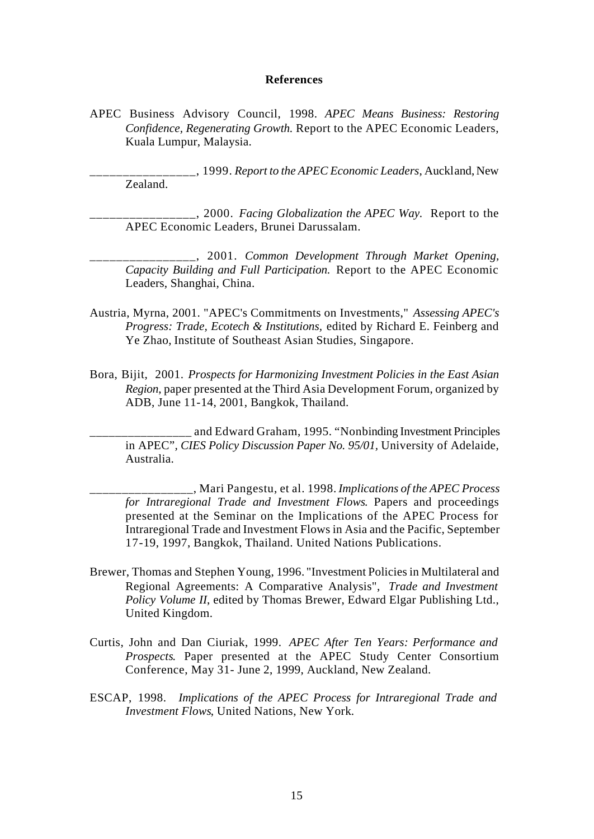#### **References**

APEC Business Advisory Council, 1998. *APEC Means Business: Restoring Confidence, Regenerating Growth.* Report to the APEC Economic Leaders, Kuala Lumpur, Malaysia.

\_\_\_\_\_\_\_\_\_\_\_\_\_\_\_\_, 1999. *Report to the APEC Economic Leaders*, Auckland, New Zealand.

\_\_\_\_\_\_\_\_\_\_\_\_\_\_\_\_, 2000. *Facing Globalization the APEC Way.* Report to the APEC Economic Leaders, Brunei Darussalam.

\_\_\_\_\_\_\_\_\_\_\_\_\_\_\_\_, 2001. *Common Development Through Market Opening, Capacity Building and Full Participation.* Report to the APEC Economic Leaders, Shanghai, China.

- Austria, Myrna, 2001. "APEC's Commitments on Investments," *Assessing APEC's Progress: Trade, Ecotech & Institutions,* edited by Richard E. Feinberg and Ye Zhao, Institute of Southeast Asian Studies, Singapore.
- Bora, Bijit, 2001. *Prospects for Harmonizing Investment Policies in the East Asian Region*, paper presented at the Third Asia Development Forum, organized by ADB, June 11-14, 2001, Bangkok, Thailand.

\_\_\_\_\_\_\_\_\_\_\_\_\_\_\_\_ and Edward Graham, 1995. "Nonbinding Investment Principles in APEC"*, CIES Policy Discussion Paper No. 95/01,* University of Adelaide, Australia.

\_\_\_\_\_\_\_\_\_\_\_\_\_\_\_\_, Mari Pangestu, et al. 1998. *Implications of the APEC Process for Intraregional Trade and Investment Flows*. Papers and proceedings presented at the Seminar on the Implications of the APEC Process for Intraregional Trade and Investment Flows in Asia and the Pacific, September 17-19, 1997, Bangkok, Thailand. United Nations Publications.

- Brewer, Thomas and Stephen Young, 1996. "Investment Policies in Multilateral and Regional Agreements: A Comparative Analysis", *Trade and Investment Policy Volume II*, edited by Thomas Brewer, Edward Elgar Publishing Ltd., United Kingdom.
- Curtis, John and Dan Ciuriak, 1999. *APEC After Ten Years: Performance and Prospects*. Paper presented at the APEC Study Center Consortium Conference, May 31- June 2, 1999, Auckland, New Zealand.
- ESCAP, 1998. *Implications of the APEC Process for Intraregional Trade and Investment Flows*, United Nations, New York.